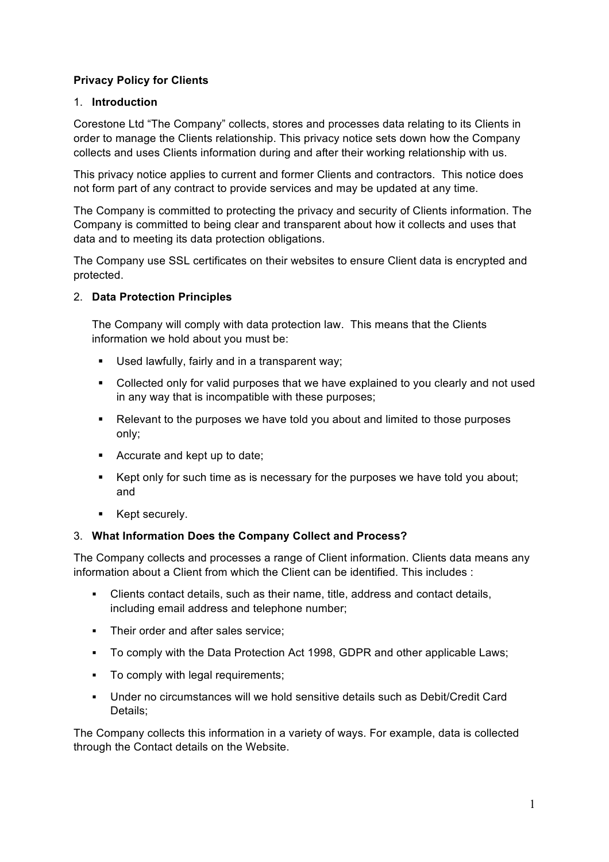## **Privacy Policy for Clients**

#### 1. **Introduction**

Corestone Ltd "The Company" collects, stores and processes data relating to its Clients in order to manage the Clients relationship. This privacy notice sets down how the Company collects and uses Clients information during and after their working relationship with us.

This privacy notice applies to current and former Clients and contractors. This notice does not form part of any contract to provide services and may be updated at any time.

The Company is committed to protecting the privacy and security of Clients information. The Company is committed to being clear and transparent about how it collects and uses that data and to meeting its data protection obligations.

The Company use SSL certificates on their websites to ensure Client data is encrypted and protected.

#### 2. **Data Protection Principles**

The Company will comply with data protection law. This means that the Clients information we hold about you must be:

- Used lawfully, fairly and in a transparent way;
- Collected only for valid purposes that we have explained to you clearly and not used in any way that is incompatible with these purposes;
- Relevant to the purposes we have told you about and limited to those purposes only;
- Accurate and kept up to date;
- Kept only for such time as is necessary for the purposes we have told you about; and
- Kept securely.

#### 3. **What Information Does the Company Collect and Process?**

The Company collects and processes a range of Client information. Clients data means any information about a Client from which the Client can be identified. This includes :

- § Clients contact details, such as their name, title, address and contact details, including email address and telephone number;
- Their order and after sales service;
- § To comply with the Data Protection Act 1998, GDPR and other applicable Laws;
- To comply with legal requirements:
- § Under no circumstances will we hold sensitive details such as Debit/Credit Card Details;

The Company collects this information in a variety of ways. For example, data is collected through the Contact details on the Website.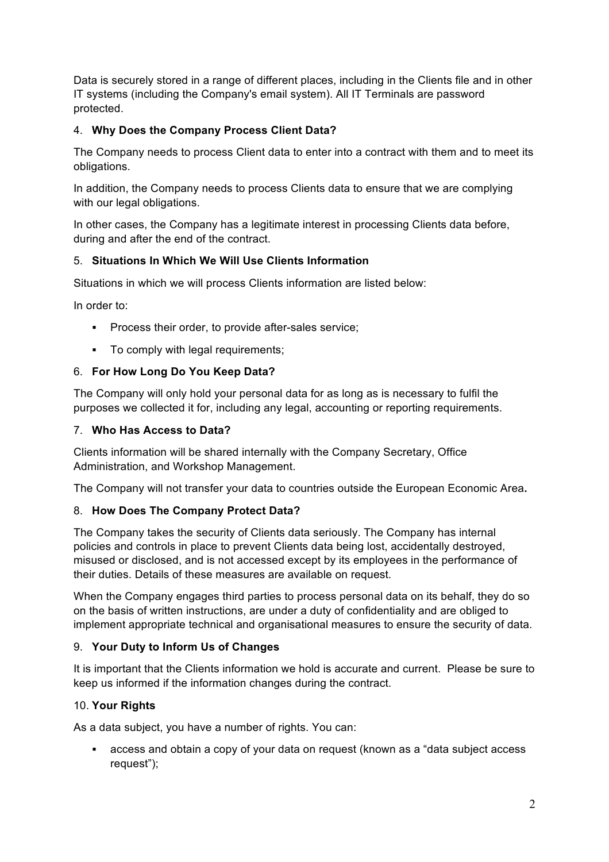Data is securely stored in a range of different places, including in the Clients file and in other IT systems (including the Company's email system). All IT Terminals are password protected.

# 4. **Why Does the Company Process Client Data?**

The Company needs to process Client data to enter into a contract with them and to meet its obligations.

In addition, the Company needs to process Clients data to ensure that we are complying with our legal obligations.

In other cases, the Company has a legitimate interest in processing Clients data before, during and after the end of the contract.

# 5. **Situations In Which We Will Use Clients Information**

Situations in which we will process Clients information are listed below:

In order to:

- Process their order, to provide after-sales service;
- To comply with legal requirements;

## 6. **For How Long Do You Keep Data?**

The Company will only hold your personal data for as long as is necessary to fulfil the purposes we collected it for, including any legal, accounting or reporting requirements.

#### 7. **Who Has Access to Data?**

Clients information will be shared internally with the Company Secretary, Office Administration, and Workshop Management.

The Company will not transfer your data to countries outside the European Economic Area**.**

## 8. **How Does The Company Protect Data?**

The Company takes the security of Clients data seriously. The Company has internal policies and controls in place to prevent Clients data being lost, accidentally destroyed, misused or disclosed, and is not accessed except by its employees in the performance of their duties. Details of these measures are available on request.

When the Company engages third parties to process personal data on its behalf, they do so on the basis of written instructions, are under a duty of confidentiality and are obliged to implement appropriate technical and organisational measures to ensure the security of data.

## 9. **Your Duty to Inform Us of Changes**

It is important that the Clients information we hold is accurate and current. Please be sure to keep us informed if the information changes during the contract.

## 10. **Your Rights**

As a data subject, you have a number of rights. You can:

§ access and obtain a copy of your data on request (known as a "data subject access request");